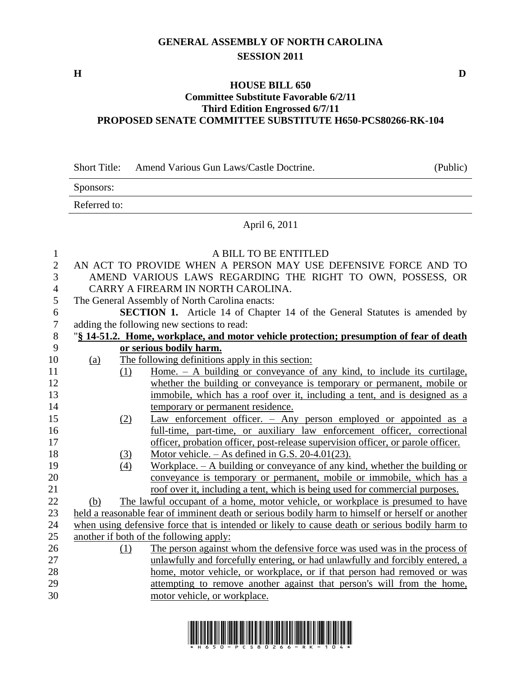## **GENERAL ASSEMBLY OF NORTH CAROLINA SESSION 2011**

#### **HOUSE BILL 650 Committee Substitute Favorable 6/2/11 Third Edition Engrossed 6/7/11 PROPOSED SENATE COMMITTEE SUBSTITUTE H650-PCS80266-RK-104**

|                | <b>Short Title:</b> |                  | Amend Various Gun Laws/Castle Doctrine.                                                     | (Public) |
|----------------|---------------------|------------------|---------------------------------------------------------------------------------------------|----------|
|                | Sponsors:           |                  |                                                                                             |          |
|                | Referred to:        |                  |                                                                                             |          |
|                |                     |                  | April 6, 2011                                                                               |          |
| 1              |                     |                  | A BILL TO BE ENTITLED                                                                       |          |
| $\overline{2}$ |                     |                  | AN ACT TO PROVIDE WHEN A PERSON MAY USE DEFENSIVE FORCE AND TO                              |          |
| 3              |                     |                  | AMEND VARIOUS LAWS REGARDING THE RIGHT TO OWN, POSSESS, OR                                  |          |
| 4              |                     |                  | CARRY A FIREARM IN NORTH CAROLINA.                                                          |          |
| 5              |                     |                  | The General Assembly of North Carolina enacts:                                              |          |
| 6              |                     |                  | <b>SECTION 1.</b> Article 14 of Chapter 14 of the General Statutes is amended by            |          |
| $\tau$         |                     |                  | adding the following new sections to read:                                                  |          |
| $8\,$          |                     |                  | "§ 14-51.2. Home, workplace, and motor vehicle protection; presumption of fear of death     |          |
| 9              |                     |                  | or serious bodily harm.                                                                     |          |
| 10             | (a)                 |                  | The following definitions apply in this section:                                            |          |
| 11             |                     | (1)              | <u>Home. <math>-</math> A building or conveyance of any kind, to include its curtilage,</u> |          |
| 12             |                     |                  | whether the building or conveyance is temporary or permanent, mobile or                     |          |
| 13             |                     |                  | immobile, which has a roof over it, including a tent, and is designed as a                  |          |
| 14             |                     |                  | temporary or permanent residence.                                                           |          |
| 15             |                     | (2)              | <u>Law enforcement officer. – Any person employed or appointed as a</u>                     |          |
| 16             |                     |                  | full-time, part-time, or auxiliary law enforcement officer, correctional                    |          |
| 17             |                     |                  | officer, probation officer, post-release supervision officer, or parole officer.            |          |
| 18             |                     | <u>(3)</u>       | Motor vehicle. $-$ As defined in G.S. 20-4.01(23).                                          |          |
| 19             |                     | $\left(4\right)$ | Workplace. $-$ A building or conveyance of any kind, whether the building or                |          |
| 20             |                     |                  | conveyance is temporary or permanent, mobile or immobile, which has a                       |          |

 roof over it, including a tent, which is being used for commercial purposes. (b) The lawful occupant of a home, motor vehicle, or workplace is presumed to have held a reasonable fear of imminent death or serious bodily harm to himself or herself or another when using defensive force that is intended or likely to cause death or serious bodily harm to 25 another if both of the following apply:

 (1) The person against whom the defensive force was used was in the process of unlawfully and forcefully entering, or had unlawfully and forcibly entered, a home, motor vehicle, or workplace, or if that person had removed or was attempting to remove another against that person's will from the home, motor vehicle, or workplace.



**H D**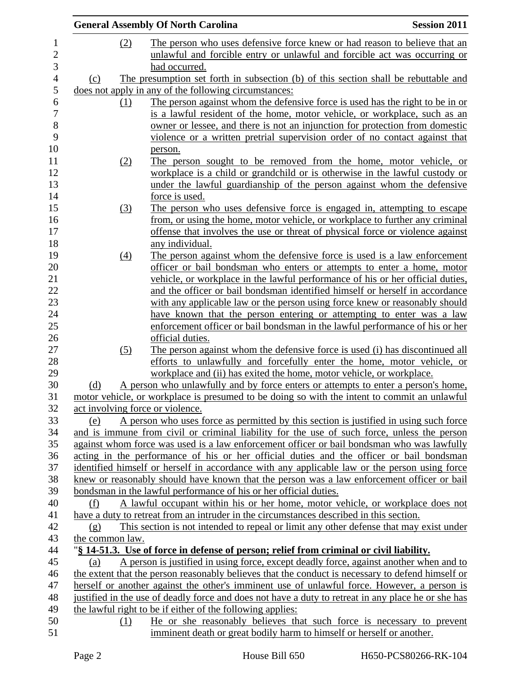|                        | <b>General Assembly Of North Carolina</b>                                                                                                                      | <b>Session 2011</b> |
|------------------------|----------------------------------------------------------------------------------------------------------------------------------------------------------------|---------------------|
| (2)                    | The person who uses defensive force knew or had reason to believe that an                                                                                      |                     |
|                        | unlawful and forcible entry or unlawful and forcible act was occurring or                                                                                      |                     |
|                        | had occurred.                                                                                                                                                  |                     |
| (c)                    | The presumption set forth in subsection (b) of this section shall be rebuttable and                                                                            |                     |
|                        | does not apply in any of the following circumstances:                                                                                                          |                     |
| (1)                    | The person against whom the defensive force is used has the right to be in or                                                                                  |                     |
|                        | is a lawful resident of the home, motor vehicle, or workplace, such as an                                                                                      |                     |
|                        | owner or lessee, and there is not an injunction for protection from domestic                                                                                   |                     |
|                        | violence or a written pretrial supervision order of no contact against that                                                                                    |                     |
|                        | person.                                                                                                                                                        |                     |
| (2)                    | The person sought to be removed from the home, motor vehicle, or                                                                                               |                     |
|                        | workplace is a child or grandchild or is otherwise in the lawful custody or                                                                                    |                     |
|                        | under the lawful guardianship of the person against whom the defensive                                                                                         |                     |
|                        | force is used.                                                                                                                                                 |                     |
| (3)                    | The person who uses defensive force is engaged in, attempting to escape                                                                                        |                     |
|                        | from, or using the home, motor vehicle, or workplace to further any criminal                                                                                   |                     |
|                        | offense that involves the use or threat of physical force or violence against                                                                                  |                     |
|                        | any individual.                                                                                                                                                |                     |
| $\Delta$               | The person against whom the defensive force is used is a law enforcement                                                                                       |                     |
|                        | officer or bail bondsman who enters or attempts to enter a home, motor                                                                                         |                     |
|                        | vehicle, or workplace in the lawful performance of his or her official duties,<br>and the officer or bail bondsman identified himself or herself in accordance |                     |
|                        | with any applicable law or the person using force knew or reasonably should                                                                                    |                     |
|                        | have known that the person entering or attempting to enter was a law                                                                                           |                     |
|                        | enforcement officer or bail bondsman in the lawful performance of his or her                                                                                   |                     |
|                        | official duties.                                                                                                                                               |                     |
| (5)                    | The person against whom the defensive force is used (i) has discontinued all                                                                                   |                     |
|                        | efforts to unlawfully and forcefully enter the home, motor vehicle, or                                                                                         |                     |
|                        | workplace and (ii) has exited the home, motor vehicle, or workplace.                                                                                           |                     |
| (d)                    | A person who unlawfully and by force enters or attempts to enter a person's home,                                                                              |                     |
|                        | motor vehicle, or workplace is presumed to be doing so with the intent to commit an unlawful                                                                   |                     |
|                        | act involving force or violence.                                                                                                                               |                     |
| (e)                    | A person who uses force as permitted by this section is justified in using such force                                                                          |                     |
|                        | and is immune from civil or criminal liability for the use of such force, unless the person                                                                    |                     |
|                        | against whom force was used is a law enforcement officer or bail bondsman who was lawfully                                                                     |                     |
|                        | acting in the performance of his or her official duties and the officer or bail bondsman                                                                       |                     |
|                        | identified himself or herself in accordance with any applicable law or the person using force                                                                  |                     |
|                        | knew or reasonably should have known that the person was a law enforcement officer or bail                                                                     |                     |
|                        | bondsman in the lawful performance of his or her official duties.                                                                                              |                     |
| (f)                    | A lawful occupant within his or her home, motor vehicle, or workplace does not                                                                                 |                     |
|                        | have a duty to retreat from an intruder in the circumstances described in this section.                                                                        |                     |
| (g)<br>the common law. | This section is not intended to repeal or limit any other defense that may exist under                                                                         |                     |
|                        | "\\frac{\epsil{14-51.3}} Use of force in defense of person; relief from criminal or civil liability.                                                           |                     |
| (a)                    | A person is justified in using force, except deadly force, against another when and to                                                                         |                     |
|                        | the extent that the person reasonably believes that the conduct is necessary to defend himself or                                                              |                     |
|                        | herself or another against the other's imminent use of unlawful force. However, a person is                                                                    |                     |
|                        | justified in the use of deadly force and does not have a duty to retreat in any place he or she has                                                            |                     |
|                        | the lawful right to be if either of the following applies:                                                                                                     |                     |
| (1)                    | He or she reasonably believes that such force is necessary to prevent                                                                                          |                     |
|                        | imminent death or great bodily harm to himself or herself or another.                                                                                          |                     |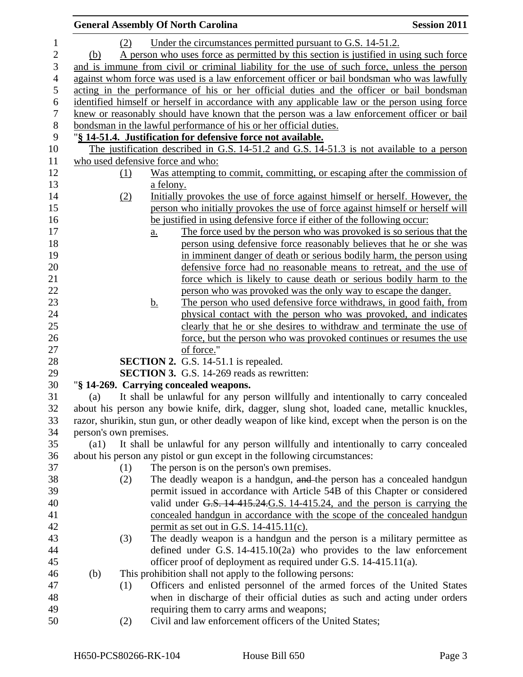|                                   |           | <b>General Assembly Of North Carolina</b>                                                                             | <b>Session 2011</b> |
|-----------------------------------|-----------|-----------------------------------------------------------------------------------------------------------------------|---------------------|
| (2)                               |           | Under the circumstances permitted pursuant to G.S. 14-51.2.                                                           |                     |
| (b)                               |           | A person who uses force as permitted by this section is justified in using such force                                 |                     |
|                                   |           | and is immune from civil or criminal liability for the use of such force, unless the person                           |                     |
|                                   |           | against whom force was used is a law enforcement officer or bail bondsman who was lawfully                            |                     |
|                                   |           | acting in the performance of his or her official duties and the officer or bail bondsman                              |                     |
|                                   |           | identified himself or herself in accordance with any applicable law or the person using force                         |                     |
|                                   |           | knew or reasonably should have known that the person was a law enforcement officer or bail                            |                     |
|                                   |           | bondsman in the lawful performance of his or her official duties.                                                     |                     |
|                                   |           | "§ 14-51.4. Justification for defensive force not available.                                                          |                     |
|                                   |           | The justification described in G.S. 14-51.2 and G.S. 14-51.3 is not available to a person                             |                     |
| who used defensive force and who: |           |                                                                                                                       |                     |
| (1)                               |           | Was attempting to commit, committing, or escaping after the commission of                                             |                     |
|                                   | a felony. |                                                                                                                       |                     |
| (2)                               |           | Initially provokes the use of force against himself or herself. However, the                                          |                     |
|                                   |           | person who initially provokes the use of force against himself or herself will                                        |                     |
|                                   |           | be justified in using defensive force if either of the following occur:                                               |                     |
|                                   | a.        | The force used by the person who was provoked is so serious that the                                                  |                     |
|                                   |           | person using defensive force reasonably believes that he or she was                                                   |                     |
|                                   |           | in imminent danger of death or serious bodily harm, the person using                                                  |                     |
|                                   |           | defensive force had no reasonable means to retreat, and the use of                                                    |                     |
|                                   |           | force which is likely to cause death or serious bodily harm to the                                                    |                     |
|                                   |           | person who was provoked was the only way to escape the danger.                                                        |                     |
|                                   | <u>b.</u> | The person who used defensive force withdraws, in good faith, from                                                    |                     |
|                                   |           | physical contact with the person who was provoked, and indicates                                                      |                     |
|                                   |           | clearly that he or she desires to withdraw and terminate the use of                                                   |                     |
|                                   |           | force, but the person who was provoked continues or resumes the use                                                   |                     |
|                                   |           | of force."                                                                                                            |                     |
|                                   |           | <b>SECTION 2.</b> G.S. 14-51.1 is repealed.                                                                           |                     |
|                                   |           | <b>SECTION 3.</b> G.S. 14-269 reads as rewritten:                                                                     |                     |
|                                   |           | "§ 14-269. Carrying concealed weapons.                                                                                |                     |
| (a)                               |           | It shall be unlawful for any person willfully and intentionally to carry concealed                                    |                     |
|                                   |           | about his person any bowie knife, dirk, dagger, slung shot, loaded cane, metallic knuckles,                           |                     |
|                                   |           | razor, shurikin, stun gun, or other deadly weapon of like kind, except when the person is on the                      |                     |
| person's own premises.            |           |                                                                                                                       |                     |
| $\left( a1\right)$                |           | It shall be unlawful for any person willfully and intentionally to carry concealed                                    |                     |
|                                   |           | about his person any pistol or gun except in the following circumstances:                                             |                     |
| (1)                               |           | The person is on the person's own premises.<br>The deadly weapon is a handgun, and the person has a concealed handgun |                     |
| (2)                               |           | permit issued in accordance with Article 54B of this Chapter or considered                                            |                     |
|                                   |           | valid under G.S. 14-415.24. G.S. 14-415.24, and the person is carrying the                                            |                     |
|                                   |           |                                                                                                                       |                     |
|                                   |           | concealed handgun in accordance with the scope of the concealed handgun<br>permit as set out in G.S. $14-415.11(c)$ . |                     |
| (3)                               |           | The deadly weapon is a handgun and the person is a military permittee as                                              |                     |
|                                   |           | defined under G.S. $14-415.10(2a)$ who provides to the law enforcement                                                |                     |
|                                   |           | officer proof of deployment as required under G.S. 14-415.11(a).                                                      |                     |
| (b)                               |           | This prohibition shall not apply to the following persons:                                                            |                     |
| (1)                               |           | Officers and enlisted personnel of the armed forces of the United States                                              |                     |
|                                   |           | when in discharge of their official duties as such and acting under orders                                            |                     |
|                                   |           | requiring them to carry arms and weapons;                                                                             |                     |
| (2)                               |           | Civil and law enforcement officers of the United States;                                                              |                     |
|                                   |           |                                                                                                                       |                     |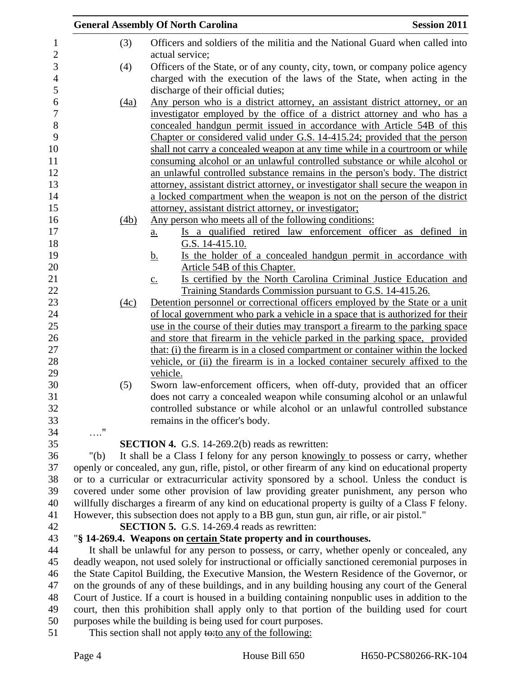|                                                                                                                             | <b>General Assembly Of North Carolina</b>                                                                                                                                                      | <b>Session 2011</b> |
|-----------------------------------------------------------------------------------------------------------------------------|------------------------------------------------------------------------------------------------------------------------------------------------------------------------------------------------|---------------------|
| (3)                                                                                                                         | Officers and soldiers of the militia and the National Guard when called into<br>actual service;                                                                                                |                     |
| (4)                                                                                                                         | Officers of the State, or of any county, city, town, or company police agency<br>charged with the execution of the laws of the State, when acting in the                                       |                     |
|                                                                                                                             | discharge of their official duties;                                                                                                                                                            |                     |
| (4a)                                                                                                                        | Any person who is a district attorney, an assistant district attorney, or an                                                                                                                   |                     |
|                                                                                                                             | investigator employed by the office of a district attorney and who has a                                                                                                                       |                     |
|                                                                                                                             | concealed handgun permit issued in accordance with Article 54B of this<br>Chapter or considered valid under G.S. 14-415.24; provided that the person                                           |                     |
|                                                                                                                             | shall not carry a concealed weapon at any time while in a courtroom or while                                                                                                                   |                     |
|                                                                                                                             | consuming alcohol or an unlawful controlled substance or while alcohol or                                                                                                                      |                     |
|                                                                                                                             | an unlawful controlled substance remains in the person's body. The district                                                                                                                    |                     |
|                                                                                                                             | attorney, assistant district attorney, or investigator shall secure the weapon in                                                                                                              |                     |
|                                                                                                                             | a locked compartment when the weapon is not on the person of the district                                                                                                                      |                     |
|                                                                                                                             | attorney, assistant district attorney, or investigator;                                                                                                                                        |                     |
| (4b)                                                                                                                        | Any person who meets all of the following conditions:                                                                                                                                          |                     |
|                                                                                                                             | Is a qualified retired law enforcement officer as defined in<br><u>a.</u>                                                                                                                      |                     |
|                                                                                                                             | G.S. 14-415.10.<br>Is the holder of a concealed handgun permit in accordance with                                                                                                              |                     |
|                                                                                                                             | <u>b.</u><br>Article 54B of this Chapter.                                                                                                                                                      |                     |
|                                                                                                                             | Is certified by the North Carolina Criminal Justice Education and<br>$\underline{c}$ .                                                                                                         |                     |
|                                                                                                                             | Training Standards Commission pursuant to G.S. 14-415.26.                                                                                                                                      |                     |
| (4c)                                                                                                                        | Detention personnel or correctional officers employed by the State or a unit                                                                                                                   |                     |
|                                                                                                                             | of local government who park a vehicle in a space that is authorized for their                                                                                                                 |                     |
|                                                                                                                             | use in the course of their duties may transport a firearm to the parking space                                                                                                                 |                     |
|                                                                                                                             | and store that firearm in the vehicle parked in the parking space, provided                                                                                                                    |                     |
|                                                                                                                             | that: (i) the firearm is in a closed compartment or container within the locked                                                                                                                |                     |
|                                                                                                                             | vehicle, or (ii) the firearm is in a locked container securely affixed to the                                                                                                                  |                     |
| (5)                                                                                                                         | vehicle.<br>Sworn law-enforcement officers, when off-duty, provided that an officer                                                                                                            |                     |
|                                                                                                                             | does not carry a concealed weapon while consuming alcohol or an unlawful                                                                                                                       |                     |
|                                                                                                                             | controlled substance or while alcohol or an unlawful controlled substance                                                                                                                      |                     |
|                                                                                                                             | remains in the officer's body.                                                                                                                                                                 |                     |
| $\ldots \overset{\text{\normalsize{\hspace{1pt}\text{\normalsize{\hspace{1pt}\text{\scriptsize{\hspace{1pt}}}}}}}}{\cdots}$ |                                                                                                                                                                                                |                     |
|                                                                                                                             | <b>SECTION 4.</b> G.S. 14-269.2(b) reads as rewritten:                                                                                                                                         |                     |
| " $(b)$                                                                                                                     | It shall be a Class I felony for any person knowingly to possess or carry, whether                                                                                                             |                     |
|                                                                                                                             | openly or concealed, any gun, rifle, pistol, or other firearm of any kind on educational property                                                                                              |                     |
|                                                                                                                             | or to a curricular or extracurricular activity sponsored by a school. Unless the conduct is                                                                                                    |                     |
|                                                                                                                             | covered under some other provision of law providing greater punishment, any person who                                                                                                         |                     |
|                                                                                                                             | willfully discharges a firearm of any kind on educational property is guilty of a Class F felony.<br>However, this subsection does not apply to a BB gun, stun gun, air rifle, or air pistol." |                     |
|                                                                                                                             | <b>SECTION 5.</b> G.S. 14-269.4 reads as rewritten:                                                                                                                                            |                     |
|                                                                                                                             | "§ 14-269.4. Weapons on certain State property and in courthouses.                                                                                                                             |                     |
|                                                                                                                             | It shall be unlawful for any person to possess, or carry, whether openly or concealed, any                                                                                                     |                     |
|                                                                                                                             | deadly weapon, not used solely for instructional or officially sanctioned ceremonial purposes in                                                                                               |                     |
|                                                                                                                             | the State Capitol Building, the Executive Mansion, the Western Residence of the Governor, or                                                                                                   |                     |
|                                                                                                                             | on the grounds of any of these buildings, and in any building housing any court of the General                                                                                                 |                     |
|                                                                                                                             | Court of Justice. If a court is housed in a building containing nonpublic uses in addition to the                                                                                              |                     |
|                                                                                                                             | court, then this prohibition shall apply only to that portion of the building used for court                                                                                                   |                     |
|                                                                                                                             | purposes while the building is being used for court purposes.                                                                                                                                  |                     |
|                                                                                                                             | This section shall not apply to: to any of the following:                                                                                                                                      |                     |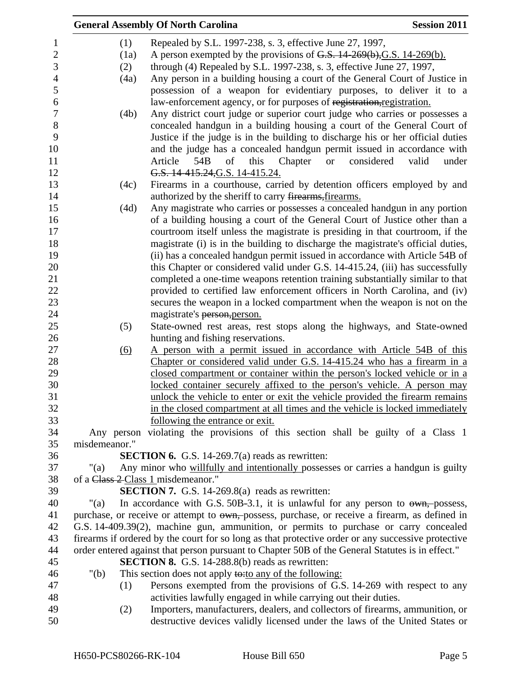| Repealed by S.L. 1997-238, s. 3, effective June 27, 1997,<br>(1)<br>$\mathbf{1}$<br>$\sqrt{2}$<br>A person exempted by the provisions of G.S. 14-269(b), G.S. 14-269(b).<br>(1a)<br>3<br>through (4) Repealed by S.L. 1997-238, s. 3, effective June 27, 1997,<br>(2)<br>$\overline{4}$<br>Any person in a building housing a court of the General Court of Justice in<br>(4a)<br>5<br>possession of a weapon for evidentiary purposes, to deliver it to a<br>6<br>law-enforcement agency, or for purposes of registration, registration.<br>$\overline{7}$<br>Any district court judge or superior court judge who carries or possesses a<br>(4b)<br>8<br>concealed handgun in a building housing a court of the General Court of<br>9<br>Justice if the judge is in the building to discharge his or her official duties<br>10<br>and the judge has a concealed handgun permit issued in accordance with<br>of<br>this<br>Chapter<br>or<br>considered<br>11<br>Article<br>54B<br>valid<br>under<br>G.S. 14-415.24, G.S. 14-415.24.<br>12<br>13<br>Firearms in a courthouse, carried by detention officers employed by and<br>(4c)<br>14<br>authorized by the sheriff to carry firearms, firearms.<br>15<br>Any magistrate who carries or possesses a concealed handgun in any portion<br>(4d)<br>of a building housing a court of the General Court of Justice other than a<br>16<br>courtroom itself unless the magistrate is presiding in that courtroom, if the<br>17<br>18<br>magistrate (i) is in the building to discharge the magistrate's official duties,<br>19<br>(ii) has a concealed handgun permit issued in accordance with Article 54B of<br>20<br>this Chapter or considered valid under G.S. 14-415.24, (iii) has successfully<br>21<br>completed a one-time weapons retention training substantially similar to that<br>22<br>provided to certified law enforcement officers in North Carolina, and (iv)<br>23<br>secures the weapon in a locked compartment when the weapon is not on the<br>24<br>magistrate's person, person.<br>25<br>(5)<br>State-owned rest areas, rest stops along the highways, and State-owned<br>hunting and fishing reservations.<br>26<br>27<br>A person with a permit issued in accordance with Article 54B of this<br>(6)<br>28<br>Chapter or considered valid under G.S. 14-415.24 who has a firearm in a<br>29<br>closed compartment or container within the person's locked vehicle or in a |
|--------------------------------------------------------------------------------------------------------------------------------------------------------------------------------------------------------------------------------------------------------------------------------------------------------------------------------------------------------------------------------------------------------------------------------------------------------------------------------------------------------------------------------------------------------------------------------------------------------------------------------------------------------------------------------------------------------------------------------------------------------------------------------------------------------------------------------------------------------------------------------------------------------------------------------------------------------------------------------------------------------------------------------------------------------------------------------------------------------------------------------------------------------------------------------------------------------------------------------------------------------------------------------------------------------------------------------------------------------------------------------------------------------------------------------------------------------------------------------------------------------------------------------------------------------------------------------------------------------------------------------------------------------------------------------------------------------------------------------------------------------------------------------------------------------------------------------------------------------------------------------------------------------------------------------------------------------------------------------------------------------------------------------------------------------------------------------------------------------------------------------------------------------------------------------------------------------------------------------------------------------------------------------------------------------------------------------------------------------------------------------------------------------------------------------------------------|
|                                                                                                                                                                                                                                                                                                                                                                                                                                                                                                                                                                                                                                                                                                                                                                                                                                                                                                                                                                                                                                                                                                                                                                                                                                                                                                                                                                                                                                                                                                                                                                                                                                                                                                                                                                                                                                                                                                                                                                                                                                                                                                                                                                                                                                                                                                                                                                                                                                                  |
|                                                                                                                                                                                                                                                                                                                                                                                                                                                                                                                                                                                                                                                                                                                                                                                                                                                                                                                                                                                                                                                                                                                                                                                                                                                                                                                                                                                                                                                                                                                                                                                                                                                                                                                                                                                                                                                                                                                                                                                                                                                                                                                                                                                                                                                                                                                                                                                                                                                  |
|                                                                                                                                                                                                                                                                                                                                                                                                                                                                                                                                                                                                                                                                                                                                                                                                                                                                                                                                                                                                                                                                                                                                                                                                                                                                                                                                                                                                                                                                                                                                                                                                                                                                                                                                                                                                                                                                                                                                                                                                                                                                                                                                                                                                                                                                                                                                                                                                                                                  |
|                                                                                                                                                                                                                                                                                                                                                                                                                                                                                                                                                                                                                                                                                                                                                                                                                                                                                                                                                                                                                                                                                                                                                                                                                                                                                                                                                                                                                                                                                                                                                                                                                                                                                                                                                                                                                                                                                                                                                                                                                                                                                                                                                                                                                                                                                                                                                                                                                                                  |
|                                                                                                                                                                                                                                                                                                                                                                                                                                                                                                                                                                                                                                                                                                                                                                                                                                                                                                                                                                                                                                                                                                                                                                                                                                                                                                                                                                                                                                                                                                                                                                                                                                                                                                                                                                                                                                                                                                                                                                                                                                                                                                                                                                                                                                                                                                                                                                                                                                                  |
|                                                                                                                                                                                                                                                                                                                                                                                                                                                                                                                                                                                                                                                                                                                                                                                                                                                                                                                                                                                                                                                                                                                                                                                                                                                                                                                                                                                                                                                                                                                                                                                                                                                                                                                                                                                                                                                                                                                                                                                                                                                                                                                                                                                                                                                                                                                                                                                                                                                  |
|                                                                                                                                                                                                                                                                                                                                                                                                                                                                                                                                                                                                                                                                                                                                                                                                                                                                                                                                                                                                                                                                                                                                                                                                                                                                                                                                                                                                                                                                                                                                                                                                                                                                                                                                                                                                                                                                                                                                                                                                                                                                                                                                                                                                                                                                                                                                                                                                                                                  |
|                                                                                                                                                                                                                                                                                                                                                                                                                                                                                                                                                                                                                                                                                                                                                                                                                                                                                                                                                                                                                                                                                                                                                                                                                                                                                                                                                                                                                                                                                                                                                                                                                                                                                                                                                                                                                                                                                                                                                                                                                                                                                                                                                                                                                                                                                                                                                                                                                                                  |
|                                                                                                                                                                                                                                                                                                                                                                                                                                                                                                                                                                                                                                                                                                                                                                                                                                                                                                                                                                                                                                                                                                                                                                                                                                                                                                                                                                                                                                                                                                                                                                                                                                                                                                                                                                                                                                                                                                                                                                                                                                                                                                                                                                                                                                                                                                                                                                                                                                                  |
|                                                                                                                                                                                                                                                                                                                                                                                                                                                                                                                                                                                                                                                                                                                                                                                                                                                                                                                                                                                                                                                                                                                                                                                                                                                                                                                                                                                                                                                                                                                                                                                                                                                                                                                                                                                                                                                                                                                                                                                                                                                                                                                                                                                                                                                                                                                                                                                                                                                  |
|                                                                                                                                                                                                                                                                                                                                                                                                                                                                                                                                                                                                                                                                                                                                                                                                                                                                                                                                                                                                                                                                                                                                                                                                                                                                                                                                                                                                                                                                                                                                                                                                                                                                                                                                                                                                                                                                                                                                                                                                                                                                                                                                                                                                                                                                                                                                                                                                                                                  |
|                                                                                                                                                                                                                                                                                                                                                                                                                                                                                                                                                                                                                                                                                                                                                                                                                                                                                                                                                                                                                                                                                                                                                                                                                                                                                                                                                                                                                                                                                                                                                                                                                                                                                                                                                                                                                                                                                                                                                                                                                                                                                                                                                                                                                                                                                                                                                                                                                                                  |
|                                                                                                                                                                                                                                                                                                                                                                                                                                                                                                                                                                                                                                                                                                                                                                                                                                                                                                                                                                                                                                                                                                                                                                                                                                                                                                                                                                                                                                                                                                                                                                                                                                                                                                                                                                                                                                                                                                                                                                                                                                                                                                                                                                                                                                                                                                                                                                                                                                                  |
|                                                                                                                                                                                                                                                                                                                                                                                                                                                                                                                                                                                                                                                                                                                                                                                                                                                                                                                                                                                                                                                                                                                                                                                                                                                                                                                                                                                                                                                                                                                                                                                                                                                                                                                                                                                                                                                                                                                                                                                                                                                                                                                                                                                                                                                                                                                                                                                                                                                  |
|                                                                                                                                                                                                                                                                                                                                                                                                                                                                                                                                                                                                                                                                                                                                                                                                                                                                                                                                                                                                                                                                                                                                                                                                                                                                                                                                                                                                                                                                                                                                                                                                                                                                                                                                                                                                                                                                                                                                                                                                                                                                                                                                                                                                                                                                                                                                                                                                                                                  |
|                                                                                                                                                                                                                                                                                                                                                                                                                                                                                                                                                                                                                                                                                                                                                                                                                                                                                                                                                                                                                                                                                                                                                                                                                                                                                                                                                                                                                                                                                                                                                                                                                                                                                                                                                                                                                                                                                                                                                                                                                                                                                                                                                                                                                                                                                                                                                                                                                                                  |
|                                                                                                                                                                                                                                                                                                                                                                                                                                                                                                                                                                                                                                                                                                                                                                                                                                                                                                                                                                                                                                                                                                                                                                                                                                                                                                                                                                                                                                                                                                                                                                                                                                                                                                                                                                                                                                                                                                                                                                                                                                                                                                                                                                                                                                                                                                                                                                                                                                                  |
|                                                                                                                                                                                                                                                                                                                                                                                                                                                                                                                                                                                                                                                                                                                                                                                                                                                                                                                                                                                                                                                                                                                                                                                                                                                                                                                                                                                                                                                                                                                                                                                                                                                                                                                                                                                                                                                                                                                                                                                                                                                                                                                                                                                                                                                                                                                                                                                                                                                  |
|                                                                                                                                                                                                                                                                                                                                                                                                                                                                                                                                                                                                                                                                                                                                                                                                                                                                                                                                                                                                                                                                                                                                                                                                                                                                                                                                                                                                                                                                                                                                                                                                                                                                                                                                                                                                                                                                                                                                                                                                                                                                                                                                                                                                                                                                                                                                                                                                                                                  |
|                                                                                                                                                                                                                                                                                                                                                                                                                                                                                                                                                                                                                                                                                                                                                                                                                                                                                                                                                                                                                                                                                                                                                                                                                                                                                                                                                                                                                                                                                                                                                                                                                                                                                                                                                                                                                                                                                                                                                                                                                                                                                                                                                                                                                                                                                                                                                                                                                                                  |
|                                                                                                                                                                                                                                                                                                                                                                                                                                                                                                                                                                                                                                                                                                                                                                                                                                                                                                                                                                                                                                                                                                                                                                                                                                                                                                                                                                                                                                                                                                                                                                                                                                                                                                                                                                                                                                                                                                                                                                                                                                                                                                                                                                                                                                                                                                                                                                                                                                                  |
|                                                                                                                                                                                                                                                                                                                                                                                                                                                                                                                                                                                                                                                                                                                                                                                                                                                                                                                                                                                                                                                                                                                                                                                                                                                                                                                                                                                                                                                                                                                                                                                                                                                                                                                                                                                                                                                                                                                                                                                                                                                                                                                                                                                                                                                                                                                                                                                                                                                  |
|                                                                                                                                                                                                                                                                                                                                                                                                                                                                                                                                                                                                                                                                                                                                                                                                                                                                                                                                                                                                                                                                                                                                                                                                                                                                                                                                                                                                                                                                                                                                                                                                                                                                                                                                                                                                                                                                                                                                                                                                                                                                                                                                                                                                                                                                                                                                                                                                                                                  |
|                                                                                                                                                                                                                                                                                                                                                                                                                                                                                                                                                                                                                                                                                                                                                                                                                                                                                                                                                                                                                                                                                                                                                                                                                                                                                                                                                                                                                                                                                                                                                                                                                                                                                                                                                                                                                                                                                                                                                                                                                                                                                                                                                                                                                                                                                                                                                                                                                                                  |
|                                                                                                                                                                                                                                                                                                                                                                                                                                                                                                                                                                                                                                                                                                                                                                                                                                                                                                                                                                                                                                                                                                                                                                                                                                                                                                                                                                                                                                                                                                                                                                                                                                                                                                                                                                                                                                                                                                                                                                                                                                                                                                                                                                                                                                                                                                                                                                                                                                                  |
|                                                                                                                                                                                                                                                                                                                                                                                                                                                                                                                                                                                                                                                                                                                                                                                                                                                                                                                                                                                                                                                                                                                                                                                                                                                                                                                                                                                                                                                                                                                                                                                                                                                                                                                                                                                                                                                                                                                                                                                                                                                                                                                                                                                                                                                                                                                                                                                                                                                  |
|                                                                                                                                                                                                                                                                                                                                                                                                                                                                                                                                                                                                                                                                                                                                                                                                                                                                                                                                                                                                                                                                                                                                                                                                                                                                                                                                                                                                                                                                                                                                                                                                                                                                                                                                                                                                                                                                                                                                                                                                                                                                                                                                                                                                                                                                                                                                                                                                                                                  |
|                                                                                                                                                                                                                                                                                                                                                                                                                                                                                                                                                                                                                                                                                                                                                                                                                                                                                                                                                                                                                                                                                                                                                                                                                                                                                                                                                                                                                                                                                                                                                                                                                                                                                                                                                                                                                                                                                                                                                                                                                                                                                                                                                                                                                                                                                                                                                                                                                                                  |
|                                                                                                                                                                                                                                                                                                                                                                                                                                                                                                                                                                                                                                                                                                                                                                                                                                                                                                                                                                                                                                                                                                                                                                                                                                                                                                                                                                                                                                                                                                                                                                                                                                                                                                                                                                                                                                                                                                                                                                                                                                                                                                                                                                                                                                                                                                                                                                                                                                                  |
| 30<br>locked container securely affixed to the person's vehicle. A person may                                                                                                                                                                                                                                                                                                                                                                                                                                                                                                                                                                                                                                                                                                                                                                                                                                                                                                                                                                                                                                                                                                                                                                                                                                                                                                                                                                                                                                                                                                                                                                                                                                                                                                                                                                                                                                                                                                                                                                                                                                                                                                                                                                                                                                                                                                                                                                    |
| 31<br>unlock the vehicle to enter or exit the vehicle provided the firearm remains                                                                                                                                                                                                                                                                                                                                                                                                                                                                                                                                                                                                                                                                                                                                                                                                                                                                                                                                                                                                                                                                                                                                                                                                                                                                                                                                                                                                                                                                                                                                                                                                                                                                                                                                                                                                                                                                                                                                                                                                                                                                                                                                                                                                                                                                                                                                                               |
| 32<br>in the closed compartment at all times and the vehicle is locked immediately                                                                                                                                                                                                                                                                                                                                                                                                                                                                                                                                                                                                                                                                                                                                                                                                                                                                                                                                                                                                                                                                                                                                                                                                                                                                                                                                                                                                                                                                                                                                                                                                                                                                                                                                                                                                                                                                                                                                                                                                                                                                                                                                                                                                                                                                                                                                                               |
| 33<br>following the entrance or exit.                                                                                                                                                                                                                                                                                                                                                                                                                                                                                                                                                                                                                                                                                                                                                                                                                                                                                                                                                                                                                                                                                                                                                                                                                                                                                                                                                                                                                                                                                                                                                                                                                                                                                                                                                                                                                                                                                                                                                                                                                                                                                                                                                                                                                                                                                                                                                                                                            |
| 34<br>Any person violating the provisions of this section shall be guilty of a Class 1                                                                                                                                                                                                                                                                                                                                                                                                                                                                                                                                                                                                                                                                                                                                                                                                                                                                                                                                                                                                                                                                                                                                                                                                                                                                                                                                                                                                                                                                                                                                                                                                                                                                                                                                                                                                                                                                                                                                                                                                                                                                                                                                                                                                                                                                                                                                                           |
| 35<br>misdemeanor."                                                                                                                                                                                                                                                                                                                                                                                                                                                                                                                                                                                                                                                                                                                                                                                                                                                                                                                                                                                                                                                                                                                                                                                                                                                                                                                                                                                                                                                                                                                                                                                                                                                                                                                                                                                                                                                                                                                                                                                                                                                                                                                                                                                                                                                                                                                                                                                                                              |
| 36<br><b>SECTION 6.</b> G.S. 14-269.7(a) reads as rewritten:                                                                                                                                                                                                                                                                                                                                                                                                                                                                                                                                                                                                                                                                                                                                                                                                                                                                                                                                                                                                                                                                                                                                                                                                                                                                                                                                                                                                                                                                                                                                                                                                                                                                                                                                                                                                                                                                                                                                                                                                                                                                                                                                                                                                                                                                                                                                                                                     |
| 37<br>Any minor who willfully and intentionally possesses or carries a handgun is guilty<br>"(a)                                                                                                                                                                                                                                                                                                                                                                                                                                                                                                                                                                                                                                                                                                                                                                                                                                                                                                                                                                                                                                                                                                                                                                                                                                                                                                                                                                                                                                                                                                                                                                                                                                                                                                                                                                                                                                                                                                                                                                                                                                                                                                                                                                                                                                                                                                                                                 |
| 38<br>of a Class 2-Class 1 misdemeanor."                                                                                                                                                                                                                                                                                                                                                                                                                                                                                                                                                                                                                                                                                                                                                                                                                                                                                                                                                                                                                                                                                                                                                                                                                                                                                                                                                                                                                                                                                                                                                                                                                                                                                                                                                                                                                                                                                                                                                                                                                                                                                                                                                                                                                                                                                                                                                                                                         |
| 39<br><b>SECTION 7.</b> G.S. 14-269.8(a) reads as rewritten:                                                                                                                                                                                                                                                                                                                                                                                                                                                                                                                                                                                                                                                                                                                                                                                                                                                                                                                                                                                                                                                                                                                                                                                                                                                                                                                                                                                                                                                                                                                                                                                                                                                                                                                                                                                                                                                                                                                                                                                                                                                                                                                                                                                                                                                                                                                                                                                     |
| 40<br>In accordance with G.S. 50B-3.1, it is unlawful for any person to own, possess,<br>" $(a)$                                                                                                                                                                                                                                                                                                                                                                                                                                                                                                                                                                                                                                                                                                                                                                                                                                                                                                                                                                                                                                                                                                                                                                                                                                                                                                                                                                                                                                                                                                                                                                                                                                                                                                                                                                                                                                                                                                                                                                                                                                                                                                                                                                                                                                                                                                                                                 |
| purchase, or receive or attempt to own, possess, purchase, or receive a firearm, as defined in<br>41                                                                                                                                                                                                                                                                                                                                                                                                                                                                                                                                                                                                                                                                                                                                                                                                                                                                                                                                                                                                                                                                                                                                                                                                                                                                                                                                                                                                                                                                                                                                                                                                                                                                                                                                                                                                                                                                                                                                                                                                                                                                                                                                                                                                                                                                                                                                             |
| 42<br>G.S. 14-409.39(2), machine gun, ammunition, or permits to purchase or carry concealed                                                                                                                                                                                                                                                                                                                                                                                                                                                                                                                                                                                                                                                                                                                                                                                                                                                                                                                                                                                                                                                                                                                                                                                                                                                                                                                                                                                                                                                                                                                                                                                                                                                                                                                                                                                                                                                                                                                                                                                                                                                                                                                                                                                                                                                                                                                                                      |
| firearms if ordered by the court for so long as that protective order or any successive protective<br>43                                                                                                                                                                                                                                                                                                                                                                                                                                                                                                                                                                                                                                                                                                                                                                                                                                                                                                                                                                                                                                                                                                                                                                                                                                                                                                                                                                                                                                                                                                                                                                                                                                                                                                                                                                                                                                                                                                                                                                                                                                                                                                                                                                                                                                                                                                                                         |
| 44<br>order entered against that person pursuant to Chapter 50B of the General Statutes is in effect."                                                                                                                                                                                                                                                                                                                                                                                                                                                                                                                                                                                                                                                                                                                                                                                                                                                                                                                                                                                                                                                                                                                                                                                                                                                                                                                                                                                                                                                                                                                                                                                                                                                                                                                                                                                                                                                                                                                                                                                                                                                                                                                                                                                                                                                                                                                                           |
| 45<br><b>SECTION 8.</b> G.S. 14-288.8(b) reads as rewritten:                                                                                                                                                                                                                                                                                                                                                                                                                                                                                                                                                                                                                                                                                                                                                                                                                                                                                                                                                                                                                                                                                                                                                                                                                                                                                                                                                                                                                                                                                                                                                                                                                                                                                                                                                                                                                                                                                                                                                                                                                                                                                                                                                                                                                                                                                                                                                                                     |
| This section does not apply to: to any of the following:<br>46<br>" $(b)$                                                                                                                                                                                                                                                                                                                                                                                                                                                                                                                                                                                                                                                                                                                                                                                                                                                                                                                                                                                                                                                                                                                                                                                                                                                                                                                                                                                                                                                                                                                                                                                                                                                                                                                                                                                                                                                                                                                                                                                                                                                                                                                                                                                                                                                                                                                                                                        |
| Persons exempted from the provisions of G.S. 14-269 with respect to any<br>47<br>(1)                                                                                                                                                                                                                                                                                                                                                                                                                                                                                                                                                                                                                                                                                                                                                                                                                                                                                                                                                                                                                                                                                                                                                                                                                                                                                                                                                                                                                                                                                                                                                                                                                                                                                                                                                                                                                                                                                                                                                                                                                                                                                                                                                                                                                                                                                                                                                             |
| 48<br>activities lawfully engaged in while carrying out their duties.                                                                                                                                                                                                                                                                                                                                                                                                                                                                                                                                                                                                                                                                                                                                                                                                                                                                                                                                                                                                                                                                                                                                                                                                                                                                                                                                                                                                                                                                                                                                                                                                                                                                                                                                                                                                                                                                                                                                                                                                                                                                                                                                                                                                                                                                                                                                                                            |
| 49<br>Importers, manufacturers, dealers, and collectors of firearms, ammunition, or<br>(2)                                                                                                                                                                                                                                                                                                                                                                                                                                                                                                                                                                                                                                                                                                                                                                                                                                                                                                                                                                                                                                                                                                                                                                                                                                                                                                                                                                                                                                                                                                                                                                                                                                                                                                                                                                                                                                                                                                                                                                                                                                                                                                                                                                                                                                                                                                                                                       |
| 50<br>destructive devices validly licensed under the laws of the United States or                                                                                                                                                                                                                                                                                                                                                                                                                                                                                                                                                                                                                                                                                                                                                                                                                                                                                                                                                                                                                                                                                                                                                                                                                                                                                                                                                                                                                                                                                                                                                                                                                                                                                                                                                                                                                                                                                                                                                                                                                                                                                                                                                                                                                                                                                                                                                                |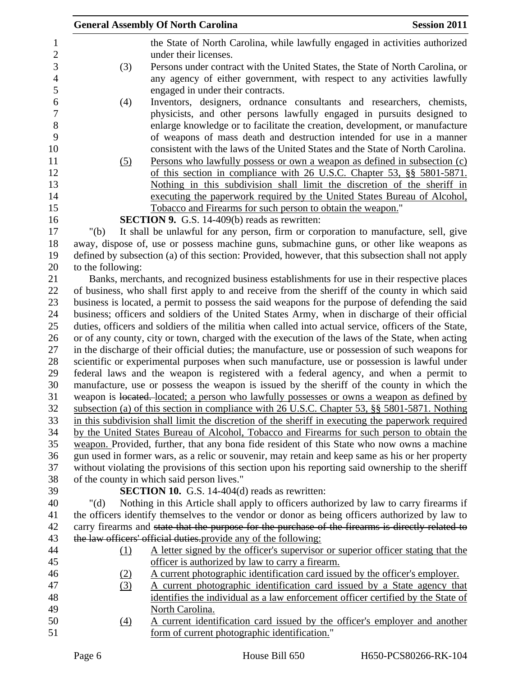|                  |                   | <b>General Assembly Of North Carolina</b>                                                            | <b>Session 2011</b> |
|------------------|-------------------|------------------------------------------------------------------------------------------------------|---------------------|
| $\mathbf 1$      |                   | the State of North Carolina, while lawfully engaged in activities authorized                         |                     |
| $\overline{2}$   |                   | under their licenses.                                                                                |                     |
| 3                | (3)               | Persons under contract with the United States, the State of North Carolina, or                       |                     |
| $\overline{4}$   |                   | any agency of either government, with respect to any activities lawfully                             |                     |
| 5                |                   | engaged in under their contracts.                                                                    |                     |
| 6                | (4)               | Inventors, designers, ordnance consultants and researchers, chemists,                                |                     |
| $\boldsymbol{7}$ |                   | physicists, and other persons lawfully engaged in pursuits designed to                               |                     |
| 8                |                   | enlarge knowledge or to facilitate the creation, development, or manufacture                         |                     |
| 9                |                   | of weapons of mass death and destruction intended for use in a manner                                |                     |
| 10               |                   | consistent with the laws of the United States and the State of North Carolina.                       |                     |
| 11               | <u>(5)</u>        | Persons who lawfully possess or own a weapon as defined in subsection (c)                            |                     |
| 12               |                   | of this section in compliance with 26 U.S.C. Chapter 53, §§ 5801-5871.                               |                     |
| 13               |                   | Nothing in this subdivision shall limit the discretion of the sheriff in                             |                     |
| 14               |                   | executing the paperwork required by the United States Bureau of Alcohol,                             |                     |
| 15               |                   | Tobacco and Firearms for such person to obtain the weapon."                                          |                     |
| 16               |                   | <b>SECTION 9.</b> G.S. 14-409(b) reads as rewritten:                                                 |                     |
| 17               | " $(b)$           | It shall be unlawful for any person, firm or corporation to manufacture, sell, give                  |                     |
| 18               |                   | away, dispose of, use or possess machine guns, submachine guns, or other like weapons as             |                     |
| 19               |                   | defined by subsection (a) of this section: Provided, however, that this subsection shall not apply   |                     |
| 20               | to the following: |                                                                                                      |                     |
| 21               |                   | Banks, merchants, and recognized business establishments for use in their respective places          |                     |
| 22               |                   | of business, who shall first apply to and receive from the sheriff of the county in which said       |                     |
| 23               |                   | business is located, a permit to possess the said weapons for the purpose of defending the said      |                     |
| 24               |                   | business; officers and soldiers of the United States Army, when in discharge of their official       |                     |
| 25               |                   | duties, officers and soldiers of the militia when called into actual service, officers of the State, |                     |
| 26               |                   | or of any county, city or town, charged with the execution of the laws of the State, when acting     |                     |
| 27               |                   | in the discharge of their official duties; the manufacture, use or possession of such weapons for    |                     |
| 28               |                   | scientific or experimental purposes when such manufacture, use or possession is lawful under         |                     |
| 29               |                   | federal laws and the weapon is registered with a federal agency, and when a permit to                |                     |
| 30               |                   | manufacture, use or possess the weapon is issued by the sheriff of the county in which the           |                     |
| 31               |                   | weapon is located. located; a person who lawfully possesses or owns a weapon as defined by           |                     |
| 32               |                   | subsection (a) of this section in compliance with 26 U.S.C. Chapter 53, §§ 5801-5871. Nothing        |                     |
| 33               |                   | in this subdivision shall limit the discretion of the sheriff in executing the paperwork required    |                     |
| 34               |                   | by the United States Bureau of Alcohol, Tobacco and Firearms for such person to obtain the           |                     |
| 35               |                   | weapon. Provided, further, that any bona fide resident of this State who now owns a machine          |                     |
| 36               |                   | gun used in former wars, as a relic or souvenir, may retain and keep same as his or her property     |                     |
| 37               |                   | without violating the provisions of this section upon his reporting said ownership to the sheriff    |                     |
| 38               |                   | of the county in which said person lives."                                                           |                     |
| 39               |                   | <b>SECTION 10.</b> G.S. 14-404(d) reads as rewritten:                                                |                     |
| 40               | " $(d)$           | Nothing in this Article shall apply to officers authorized by law to carry firearms if               |                     |
| 41               |                   | the officers identify themselves to the vendor or donor as being officers authorized by law to       |                     |
| 42               |                   | carry firearms and state that the purpose for the purchase of the firearms is directly related to    |                     |
| 43               |                   | the law officers' official duties.provide any of the following:                                      |                     |
| 44               | <u>(1)</u>        | A letter signed by the officer's supervisor or superior officer stating that the                     |                     |
| 45               |                   | officer is authorized by law to carry a firearm.                                                     |                     |
| 46               | (2)               | A current photographic identification card issued by the officer's employer.                         |                     |
| 47               | (3)               | A current photographic identification card issued by a State agency that                             |                     |
| 48               |                   | identifies the individual as a law enforcement officer certified by the State of                     |                     |
| 49               |                   | North Carolina.                                                                                      |                     |
| 50               | $\left(4\right)$  | A current identification card issued by the officer's employer and another                           |                     |
| 51               |                   | form of current photographic identification."                                                        |                     |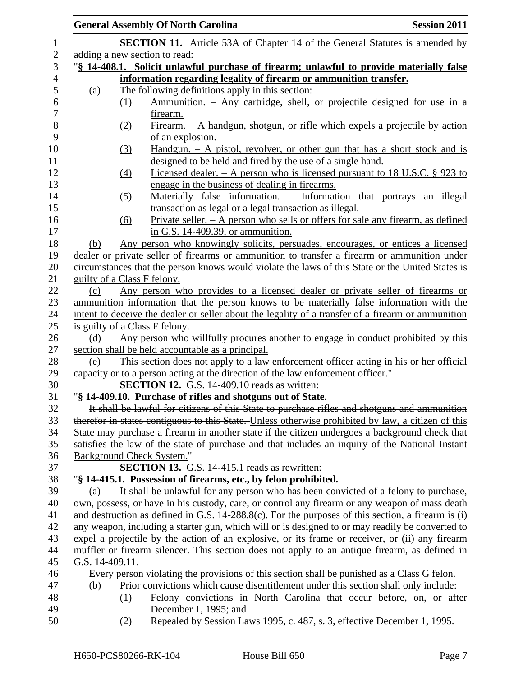|                 |                   | <b>General Assembly Of North Carolina</b>                                                                           | <b>Session 2011</b> |
|-----------------|-------------------|---------------------------------------------------------------------------------------------------------------------|---------------------|
|                 |                   | <b>SECTION 11.</b> Article 53A of Chapter 14 of the General Statutes is amended by                                  |                     |
|                 |                   | adding a new section to read:                                                                                       |                     |
|                 |                   | "§ 14-408.1. Solicit unlawful purchase of firearm; unlawful to provide materially false                             |                     |
|                 |                   | information regarding legality of firearm or ammunition transfer.                                                   |                     |
| <u>(a)</u>      |                   | The following definitions apply in this section:                                                                    |                     |
|                 | (1)               | <u>Ammunition. – Any cartridge, shell, or projectile designed for use in a</u>                                      |                     |
|                 |                   | firearm.                                                                                                            |                     |
|                 | (2)               | Firearm. $- A$ handgun, shotgun, or rifle which expels a projectile by action                                       |                     |
|                 |                   | of an explosion.                                                                                                    |                     |
|                 | (3)               | $\frac{H}{v}$ Handgun. – A pistol, revolver, or other gun that has a short stock and is                             |                     |
|                 |                   | designed to be held and fired by the use of a single hand.                                                          |                     |
|                 | $\underline{(4)}$ | Licensed dealer. $- A$ person who is licensed pursuant to 18 U.S.C. § 923 to                                        |                     |
|                 |                   | engage in the business of dealing in firearms.                                                                      |                     |
|                 | (5)               | Materially false information. - Information that portrays an illegal                                                |                     |
|                 |                   | transaction as legal or a legal transaction as illegal.                                                             |                     |
|                 | (6)               | Private seller. $-$ A person who sells or offers for sale any firearm, as defined                                   |                     |
|                 |                   | in G.S. 14-409.39, or ammunition.                                                                                   |                     |
| (b)             |                   | Any person who knowingly solicits, persuades, encourages, or entices a licensed                                     |                     |
|                 |                   | dealer or private seller of firearms or ammunition to transfer a firearm or ammunition under                        |                     |
|                 |                   | circumstances that the person knows would violate the laws of this State or the United States is                    |                     |
|                 |                   | guilty of a Class F felony.                                                                                         |                     |
| (c)             |                   | Any person who provides to a licensed dealer or private seller of firearms or                                       |                     |
|                 |                   | ammunition information that the person knows to be materially false information with the                            |                     |
|                 |                   | intent to deceive the dealer or seller about the legality of a transfer of a firearm or ammunition                  |                     |
|                 |                   | is guilty of a Class F felony.<br>Any person who willfully procures another to engage in conduct prohibited by this |                     |
| (d)             |                   | section shall be held accountable as a principal.                                                                   |                     |
| (e)             |                   | This section does not apply to a law enforcement officer acting in his or her official                              |                     |
|                 |                   | capacity or to a person acting at the direction of the law enforcement officer."                                    |                     |
|                 |                   | <b>SECTION 12.</b> G.S. 14-409.10 reads as written:                                                                 |                     |
|                 |                   | "§ 14-409.10. Purchase of rifles and shotguns out of State.                                                         |                     |
|                 |                   | It shall be lawful for citizens of this State to purchase rifles and shotguns and ammunition                        |                     |
|                 |                   | therefor in states contiguous to this State. Unless otherwise prohibited by law, a citizen of this                  |                     |
|                 |                   | State may purchase a firearm in another state if the citizen undergoes a background check that                      |                     |
|                 |                   | satisfies the law of the state of purchase and that includes an inquiry of the National Instant                     |                     |
|                 |                   | <b>Background Check System."</b>                                                                                    |                     |
|                 |                   | <b>SECTION 13.</b> G.S. 14-415.1 reads as rewritten:                                                                |                     |
|                 |                   | "§ 14-415.1. Possession of firearms, etc., by felon prohibited.                                                     |                     |
| (a)             |                   | It shall be unlawful for any person who has been convicted of a felony to purchase,                                 |                     |
|                 |                   | own, possess, or have in his custody, care, or control any firearm or any weapon of mass death                      |                     |
|                 |                   | and destruction as defined in G.S. 14-288.8(c). For the purposes of this section, a firearm is (i)                  |                     |
|                 |                   | any weapon, including a starter gun, which will or is designed to or may readily be converted to                    |                     |
|                 |                   | expel a projectile by the action of an explosive, or its frame or receiver, or (ii) any firearm                     |                     |
|                 |                   | muffler or firearm silencer. This section does not apply to an antique firearm, as defined in                       |                     |
| G.S. 14-409.11. |                   |                                                                                                                     |                     |
|                 |                   | Every person violating the provisions of this section shall be punished as a Class G felon.                         |                     |
| (b)             |                   | Prior convictions which cause disentitlement under this section shall only include:                                 |                     |
|                 | (1)               | Felony convictions in North Carolina that occur before, on, or after                                                |                     |
|                 |                   | December 1, 1995; and                                                                                               |                     |
|                 | (2)               | Repealed by Session Laws 1995, c. 487, s. 3, effective December 1, 1995.                                            |                     |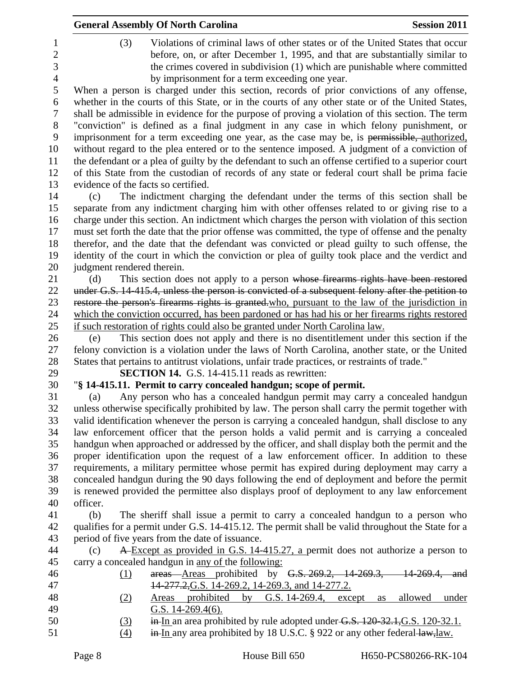|                | <b>General Assembly Of North Carolina</b><br><b>Session 2011</b>                                    |  |
|----------------|-----------------------------------------------------------------------------------------------------|--|
| 1              | Violations of criminal laws of other states or of the United States that occur<br>(3)               |  |
| $\sqrt{2}$     | before, on, or after December 1, 1995, and that are substantially similar to                        |  |
| 3              | the crimes covered in subdivision (1) which are punishable where committed                          |  |
| $\overline{4}$ | by imprisonment for a term exceeding one year.                                                      |  |
| 5              | When a person is charged under this section, records of prior convictions of any offense,           |  |
| 6              | whether in the courts of this State, or in the courts of any other state or of the United States,   |  |
| 7              | shall be admissible in evidence for the purpose of proving a violation of this section. The term    |  |
| 8              | "conviction" is defined as a final judgment in any case in which felony punishment, or              |  |
| 9              | imprisonment for a term exceeding one year, as the case may be, is permissible, authorized,         |  |
| 10             | without regard to the plea entered or to the sentence imposed. A judgment of a conviction of        |  |
| 11             | the defendant or a plea of guilty by the defendant to such an offense certified to a superior court |  |
| 12             | of this State from the custodian of records of any state or federal court shall be prima facie      |  |
| 13             | evidence of the facts so certified.                                                                 |  |
| 14             | The indictment charging the defendant under the terms of this section shall be<br>(c)               |  |
| 15             | separate from any indictment charging him with other offenses related to or giving rise to a        |  |
| 16             | charge under this section. An indictment which charges the person with violation of this section    |  |
| 17             | must set forth the date that the prior offense was committed, the type of offense and the penalty   |  |
| 18             | therefor, and the date that the defendant was convicted or plead guilty to such offense, the        |  |
| 19             | identity of the court in which the conviction or plea of guilty took place and the verdict and      |  |
| 20             | judgment rendered therein.                                                                          |  |
| 21             | This section does not apply to a person whose firearms rights have been restored<br>(d)             |  |
| 22             | under G.S. 14-415.4, unless the person is convicted of a subsequent felony after the petition to    |  |
| 23             | restore the person's firearms rights is granted who, pursuant to the law of the jurisdiction in     |  |
| 24             | which the conviction occurred, has been pardoned or has had his or her firearms rights restored     |  |
| 25             | if such restoration of rights could also be granted under North Carolina law.                       |  |
| 26             | This section does not apply and there is no disentitlement under this section if the<br>(e)         |  |
| 27             | felony conviction is a violation under the laws of North Carolina, another state, or the United     |  |
| 28             | States that pertains to antitrust violations, unfair trade practices, or restraints of trade."      |  |
| 29             | SECTION 14. G.S. 14-415.11 reads as rewritten:                                                      |  |
| 30             | "§ 14-415.11. Permit to carry concealed handgun; scope of permit.                                   |  |
| 31             | Any person who has a concealed handgun permit may carry a concealed handgun<br>(a)                  |  |
| 32             | unless otherwise specifically prohibited by law. The person shall carry the permit together with    |  |
| 33             | valid identification whenever the person is carrying a concealed handgun, shall disclose to any     |  |
| 34             | law enforcement officer that the person holds a valid permit and is carrying a concealed            |  |
| 35             | handgun when approached or addressed by the officer, and shall display both the permit and the      |  |
| 36             | proper identification upon the request of a law enforcement officer. In addition to these           |  |
| 37             | requirements, a military permittee whose permit has expired during deployment may carry a           |  |
| 38             | concealed handgun during the 90 days following the end of deployment and before the permit          |  |
| 39             | is renewed provided the permittee also displays proof of deployment to any law enforcement          |  |
| 40             | officer.                                                                                            |  |
| 41             | (b)<br>The sheriff shall issue a permit to carry a concealed handgun to a person who                |  |
| 42             | qualifies for a permit under G.S. 14-415.12. The permit shall be valid throughout the State for a   |  |
| 43             | period of five years from the date of issuance.                                                     |  |
| 44             | A Except as provided in G.S. 14-415.27, a permit does not authorize a person to<br>(c)              |  |
| 45             | carry a concealed handgun in any of the following:                                                  |  |
| 46             | areas Areas prohibited by G.S. 269.2, 14-269.3, 14-269.4, and<br>(1)                                |  |
| 47             | 14-277.2, G.S. 14-269.2, 14-269.3, and 14-277.2.                                                    |  |
| 48             | Areas prohibited<br>by G.S. $14-269.4$ , except<br>allowed<br>under<br>(2)<br>as                    |  |
| 49             | G.S. $14-269.4(6)$ .                                                                                |  |
| 50             | in In an area prohibited by rule adopted under G.S. 120-32.1, G.S. 120-32.1.<br>$\left(3\right)$    |  |
| 51             | in-In any area prohibited by 18 U.S.C. § 922 or any other federal-law, law.<br>$\left(4\right)$     |  |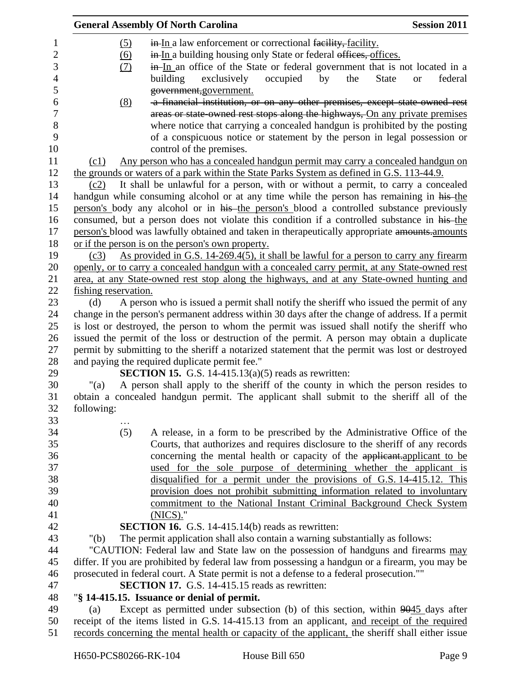|                      | <b>General Assembly Of North Carolina</b>                                                                                                         | <b>Session 2011</b>  |
|----------------------|---------------------------------------------------------------------------------------------------------------------------------------------------|----------------------|
| (5)                  | in In a law enforcement or correctional facility, facility.                                                                                       |                      |
| (6)                  | in In a building housing only State or federal offices, offices.                                                                                  |                      |
| (7)                  | in-In an office of the State or federal government that is not located in a                                                                       |                      |
|                      | exclusively<br>occupied<br>by<br>the<br>building<br><b>State</b>                                                                                  | federal<br><b>or</b> |
|                      | government, government.                                                                                                                           |                      |
| (8)                  | -a financial institution, or on any other premises, except state-owned rest                                                                       |                      |
|                      | areas or state owned rest stops along the highways, On any private premises                                                                       |                      |
|                      | where notice that carrying a concealed handgun is prohibited by the posting                                                                       |                      |
|                      | of a conspicuous notice or statement by the person in legal possession or                                                                         |                      |
|                      | control of the premises.                                                                                                                          |                      |
| (c1)                 | Any person who has a concealed handgun permit may carry a concealed handgun on                                                                    |                      |
|                      | the grounds or waters of a park within the State Parks System as defined in G.S. 113-44.9.                                                        |                      |
| (c2)                 | It shall be unlawful for a person, with or without a permit, to carry a concealed                                                                 |                      |
|                      | handgun while consuming alcohol or at any time while the person has remaining in his-the                                                          |                      |
|                      | person's body any alcohol or in his the person's blood a controlled substance previously                                                          |                      |
|                      | consumed, but a person does not violate this condition if a controlled substance in his the                                                       |                      |
|                      | person's blood was lawfully obtained and taken in therapeutically appropriate amounts amounts                                                     |                      |
|                      | or if the person is on the person's own property.                                                                                                 |                      |
| (c3)                 | As provided in G.S. 14-269.4(5), it shall be lawful for a person to carry any firearm                                                             |                      |
|                      | openly, or to carry a concealed handgun with a concealed carry permit, at any State-owned rest                                                    |                      |
|                      | area, at any State-owned rest stop along the highways, and at any State-owned hunting and                                                         |                      |
| fishing reservation. |                                                                                                                                                   |                      |
| (d)                  | A person who is issued a permit shall notify the sheriff who issued the permit of any                                                             |                      |
|                      | change in the person's permanent address within 30 days after the change of address. If a permit                                                  |                      |
|                      | is lost or destroyed, the person to whom the permit was issued shall notify the sheriff who                                                       |                      |
|                      | issued the permit of the loss or destruction of the permit. A person may obtain a duplicate                                                       |                      |
|                      |                                                                                                                                                   |                      |
|                      | permit by submitting to the sheriff a notarized statement that the permit was lost or destroyed<br>and paying the required duplicate permit fee." |                      |
|                      |                                                                                                                                                   |                      |
|                      | <b>SECTION 15.</b> G.S. 14-415.13(a)(5) reads as rewritten:                                                                                       |                      |
| "(a)                 | A person shall apply to the sheriff of the county in which the person resides to                                                                  |                      |
|                      | obtain a concealed handgun permit. The applicant shall submit to the sheriff all of the                                                           |                      |
| following:           |                                                                                                                                                   |                      |
|                      |                                                                                                                                                   |                      |
| (5)                  | A release, in a form to be prescribed by the Administrative Office of the                                                                         |                      |
|                      | Courts, that authorizes and requires disclosure to the sheriff of any records                                                                     |                      |
|                      | concerning the mental health or capacity of the applicant.applicant to be                                                                         |                      |
|                      | used for the sole purpose of determining whether the applicant is                                                                                 |                      |
|                      | disqualified for a permit under the provisions of G.S. 14-415.12. This                                                                            |                      |
|                      | provision does not prohibit submitting information related to involuntary                                                                         |                      |
|                      | commitment to the National Instant Criminal Background Check System                                                                               |                      |
|                      | $(NICS).$ "                                                                                                                                       |                      |
|                      | <b>SECTION 16.</b> G.S. 14-415.14(b) reads as rewritten:                                                                                          |                      |
| " $(b)$              | The permit application shall also contain a warning substantially as follows:                                                                     |                      |
|                      | "CAUTION: Federal law and State law on the possession of handguns and firearms may                                                                |                      |
|                      | differ. If you are prohibited by federal law from possessing a handgun or a firearm, you may be                                                   |                      |
|                      | prosecuted in federal court. A State permit is not a defense to a federal prosecution.""                                                          |                      |
|                      | <b>SECTION 17.</b> G.S. 14-415.15 reads as rewritten:                                                                                             |                      |
|                      | "§ 14-415.15. Issuance or denial of permit.                                                                                                       |                      |
| (a)                  | Except as permitted under subsection (b) of this section, within 9045 days after                                                                  |                      |
|                      | receipt of the items listed in G.S. 14-415.13 from an applicant, and receipt of the required                                                      |                      |
|                      | records concerning the mental health or capacity of the applicant, the sheriff shall either issue                                                 |                      |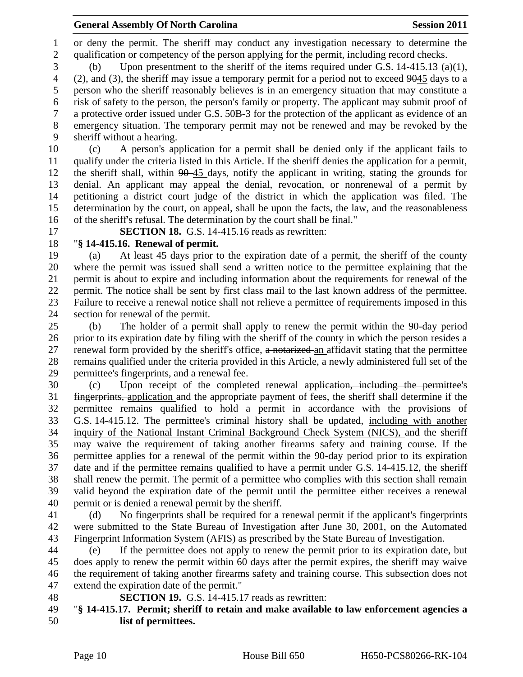or deny the permit. The sheriff may conduct any investigation necessary to determine the qualification or competency of the person applying for the permit, including record checks. (b) Upon presentment to the sheriff of the items required under G.S. 14-415.13 (a)(1),

 (2), and (3), the sheriff may issue a temporary permit for a period not to exceed 9045 days to a person who the sheriff reasonably believes is in an emergency situation that may constitute a risk of safety to the person, the person's family or property. The applicant may submit proof of a protective order issued under G.S. 50B-3 for the protection of the applicant as evidence of an emergency situation. The temporary permit may not be renewed and may be revoked by the sheriff without a hearing.

 (c) A person's application for a permit shall be denied only if the applicant fails to qualify under the criteria listed in this Article. If the sheriff denies the application for a permit, 12 the sheriff shall, within  $90-45$  days, notify the applicant in writing, stating the grounds for denial. An applicant may appeal the denial, revocation, or nonrenewal of a permit by petitioning a district court judge of the district in which the application was filed. The determination by the court, on appeal, shall be upon the facts, the law, and the reasonableness of the sheriff's refusal. The determination by the court shall be final."

**SECTION 18.** G.S. 14-415.16 reads as rewritten:

## "**§ 14-415.16. Renewal of permit.**

 (a) At least 45 days prior to the expiration date of a permit, the sheriff of the county where the permit was issued shall send a written notice to the permittee explaining that the permit is about to expire and including information about the requirements for renewal of the permit. The notice shall be sent by first class mail to the last known address of the permittee. Failure to receive a renewal notice shall not relieve a permittee of requirements imposed in this section for renewal of the permit.

 (b) The holder of a permit shall apply to renew the permit within the 90-day period prior to its expiration date by filing with the sheriff of the county in which the person resides a 27 renewal form provided by the sheriff's office, a notarized an affidavit stating that the permittee remains qualified under the criteria provided in this Article, a newly administered full set of the permittee's fingerprints, and a renewal fee.

 (c) Upon receipt of the completed renewal application, including the permittee's fingerprints, application and the appropriate payment of fees, the sheriff shall determine if the permittee remains qualified to hold a permit in accordance with the provisions of G.S. 14-415.12. The permittee's criminal history shall be updated, including with another inquiry of the National Instant Criminal Background Check System (NICS), and the sheriff may waive the requirement of taking another firearms safety and training course. If the permittee applies for a renewal of the permit within the 90-day period prior to its expiration date and if the permittee remains qualified to have a permit under G.S. 14-415.12, the sheriff shall renew the permit. The permit of a permittee who complies with this section shall remain valid beyond the expiration date of the permit until the permittee either receives a renewal permit or is denied a renewal permit by the sheriff.

 (d) No fingerprints shall be required for a renewal permit if the applicant's fingerprints were submitted to the State Bureau of Investigation after June 30, 2001, on the Automated Fingerprint Information System (AFIS) as prescribed by the State Bureau of Investigation.

 (e) If the permittee does not apply to renew the permit prior to its expiration date, but does apply to renew the permit within 60 days after the permit expires, the sheriff may waive the requirement of taking another firearms safety and training course. This subsection does not extend the expiration date of the permit."

**SECTION 19.** G.S. 14-415.17 reads as rewritten:

### "**§ 14-415.17. Permit; sheriff to retain and make available to law enforcement agencies a list of permittees.**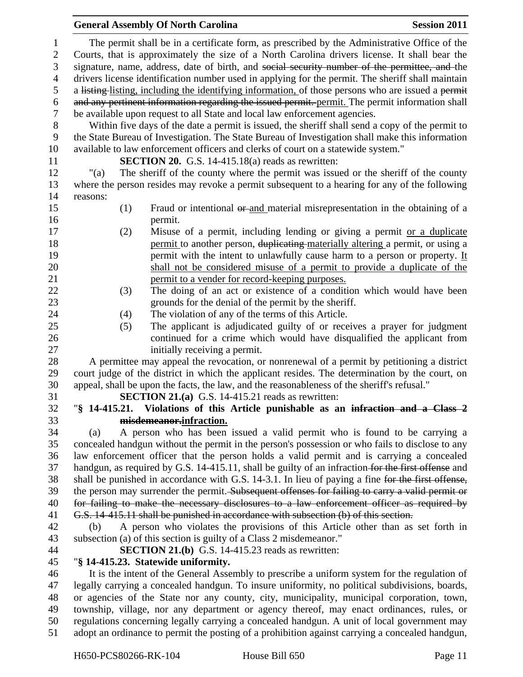# **General Assembly Of North Carolina Session 2011**

| $\mathbf{1}$     | The permit shall be in a certificate form, as prescribed by the Administrative Office of the                                                                                            |
|------------------|-----------------------------------------------------------------------------------------------------------------------------------------------------------------------------------------|
| $\overline{2}$   | Courts, that is approximately the size of a North Carolina drivers license. It shall bear the                                                                                           |
| 3                | signature, name, address, date of birth, and social security number of the permittee, and the                                                                                           |
| $\overline{4}$   | drivers license identification number used in applying for the permit. The sheriff shall maintain                                                                                       |
| 5                | a listing-listing, including the identifying information, of those persons who are issued a permit                                                                                      |
| 6                | and any pertinent information regarding the issued permit. permit. The permit information shall                                                                                         |
| $\boldsymbol{7}$ | be available upon request to all State and local law enforcement agencies.                                                                                                              |
| 8                | Within five days of the date a permit is issued, the sheriff shall send a copy of the permit to                                                                                         |
| 9                | the State Bureau of Investigation. The State Bureau of Investigation shall make this information                                                                                        |
| 10               | available to law enforcement officers and clerks of court on a statewide system."                                                                                                       |
| 11               | <b>SECTION 20.</b> G.S. 14-415.18(a) reads as rewritten:                                                                                                                                |
| 12               | The sheriff of the county where the permit was issued or the sheriff of the county<br>"(a)                                                                                              |
| 13               | where the person resides may revoke a permit subsequent to a hearing for any of the following                                                                                           |
| 14               | reasons:                                                                                                                                                                                |
| 15               | Fraud or intentional or and material misrepresentation in the obtaining of a<br>(1)                                                                                                     |
| 16               | permit.                                                                                                                                                                                 |
| 17               | Misuse of a permit, including lending or giving a permit or a duplicate<br>(2)                                                                                                          |
| 18               | permit to another person, duplicating materially altering a permit, or using a                                                                                                          |
| 19               | permit with the intent to unlawfully cause harm to a person or property. It                                                                                                             |
| 20               | shall not be considered misuse of a permit to provide a duplicate of the                                                                                                                |
| 21               | permit to a vender for record-keeping purposes.                                                                                                                                         |
| 22               | The doing of an act or existence of a condition which would have been<br>(3)                                                                                                            |
| 23               | grounds for the denial of the permit by the sheriff.                                                                                                                                    |
| 24               | The violation of any of the terms of this Article.<br>(4)                                                                                                                               |
| 25               | The applicant is adjudicated guilty of or receives a prayer for judgment<br>(5)                                                                                                         |
| 26               | continued for a crime which would have disqualified the applicant from                                                                                                                  |
| 27               | initially receiving a permit.                                                                                                                                                           |
| 28               | A permittee may appeal the revocation, or nonrenewal of a permit by petitioning a district                                                                                              |
| 29               | court judge of the district in which the applicant resides. The determination by the court, on                                                                                          |
| 30               | appeal, shall be upon the facts, the law, and the reasonableness of the sheriff's refusal."                                                                                             |
| 31               | <b>SECTION 21.(a)</b> G.S. 14-415.21 reads as rewritten:                                                                                                                                |
| 32               | "§ 14-415.21. Violations of this Article punishable as an infraction and a Class 2                                                                                                      |
| 33               | misdemeanor.infraction.                                                                                                                                                                 |
| 34               | A person who has been issued a valid permit who is found to be carrying a<br>(a)                                                                                                        |
| 35               | concealed handgun without the permit in the person's possession or who fails to disclose to any                                                                                         |
| 36               | law enforcement officer that the person holds a valid permit and is carrying a concealed                                                                                                |
| 37               | handgun, as required by G.S. 14-415.11, shall be guilty of an infraction for the first offense and                                                                                      |
| 38               | shall be punished in accordance with G.S. 14-3.1. In lieu of paying a fine for the first offense,                                                                                       |
| 39               | the person may surrender the permit. Subsequent offenses for failing to carry a valid permit or                                                                                         |
| 40               | for failing to make the necessary disclosures to a law enforcement officer as required by                                                                                               |
| 41               | G.S. 14-415.11 shall be punished in accordance with subsection (b) of this section.                                                                                                     |
| 42               | A person who violates the provisions of this Article other than as set forth in<br>(b)                                                                                                  |
| 43               | subsection (a) of this section is guilty of a Class 2 misdemeanor."                                                                                                                     |
| 44               | <b>SECTION 21.(b)</b> G.S. 14-415.23 reads as rewritten:                                                                                                                                |
| 45               | "§ 14-415.23. Statewide uniformity.                                                                                                                                                     |
| 46<br>47         | It is the intent of the General Assembly to prescribe a uniform system for the regulation of                                                                                            |
| 48               | legally carrying a concealed handgun. To insure uniformity, no political subdivisions, boards,                                                                                          |
| 49               | or agencies of the State nor any county, city, municipality, municipal corporation, town,                                                                                               |
| 50               | township, village, nor any department or agency thereof, may enact ordinances, rules, or<br>regulations concerning legally carrying a concealed handgun. A unit of local government may |
| 51               | adopt an ordinance to permit the posting of a prohibition against carrying a concealed handgun,                                                                                         |
|                  |                                                                                                                                                                                         |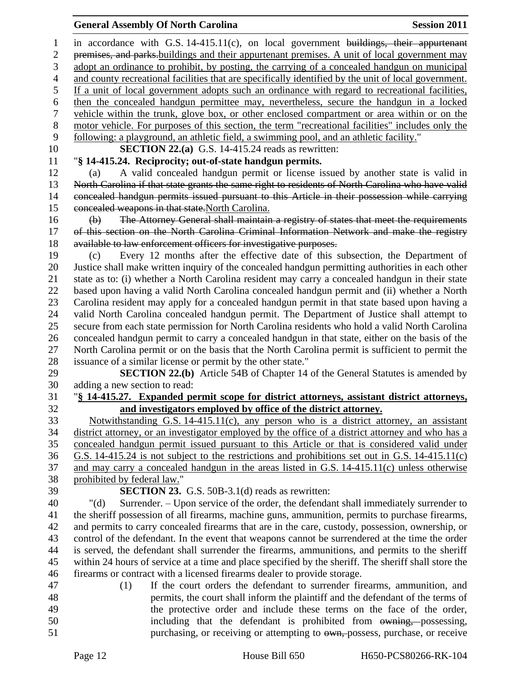#### **General Assembly Of North Carolina Session 2011**

 in accordance with G.S. 14-415.11(c), on local government buildings, their appurtenant 2 premises, and parks buildings and their appurtenant premises. A unit of local government may adopt an ordinance to prohibit, by posting, the carrying of a concealed handgun on municipal and county recreational facilities that are specifically identified by the unit of local government. If a unit of local government adopts such an ordinance with regard to recreational facilities, then the concealed handgun permittee may, nevertheless, secure the handgun in a locked vehicle within the trunk, glove box, or other enclosed compartment or area within or on the motor vehicle. For purposes of this section, the term "recreational facilities" includes only the following: a playground, an athletic field, a swimming pool, and an athletic facility." **SECTION 22.(a)** G.S. 14-415.24 reads as rewritten: "**§ 14-415.24. Reciprocity; out-of-state handgun permits.** (a) A valid concealed handgun permit or license issued by another state is valid in 13 North Carolina if that state grants the same right to residents of North Carolina who have valid concealed handgun permits issued pursuant to this Article in their possession while carrying concealed weapons in that state.North Carolina. (b) The Attorney General shall maintain a registry of states that meet the requirements of this section on the North Carolina Criminal Information Network and make the registry available to law enforcement officers for investigative purposes. (c) Every 12 months after the effective date of this subsection, the Department of Justice shall make written inquiry of the concealed handgun permitting authorities in each other state as to: (i) whether a North Carolina resident may carry a concealed handgun in their state based upon having a valid North Carolina concealed handgun permit and (ii) whether a North Carolina resident may apply for a concealed handgun permit in that state based upon having a valid North Carolina concealed handgun permit. The Department of Justice shall attempt to secure from each state permission for North Carolina residents who hold a valid North Carolina concealed handgun permit to carry a concealed handgun in that state, either on the basis of the North Carolina permit or on the basis that the North Carolina permit is sufficient to permit the issuance of a similar license or permit by the other state." **SECTION 22.(b)** Article 54B of Chapter 14 of the General Statutes is amended by adding a new section to read: "**§ 14-415.27. Expanded permit scope for district attorneys, assistant district attorneys, and investigators employed by office of the district attorney.** Notwithstanding G.S. 14-415.11(c), any person who is a district attorney, an assistant district attorney, or an investigator employed by the office of a district attorney and who has a concealed handgun permit issued pursuant to this Article or that is considered valid under G.S. 14-415.24 is not subject to the restrictions and prohibitions set out in G.S. 14-415.11(c) and may carry a concealed handgun in the areas listed in G.S. 14-415.11(c) unless otherwise prohibited by federal law." **SECTION 23.** G.S. 50B-3.1(d) reads as rewritten: "(d) Surrender. – Upon service of the order, the defendant shall immediately surrender to the sheriff possession of all firearms, machine guns, ammunition, permits to purchase firearms, and permits to carry concealed firearms that are in the care, custody, possession, ownership, or control of the defendant. In the event that weapons cannot be surrendered at the time the order is served, the defendant shall surrender the firearms, ammunitions, and permits to the sheriff within 24 hours of service at a time and place specified by the sheriff. The sheriff shall store the firearms or contract with a licensed firearms dealer to provide storage. (1) If the court orders the defendant to surrender firearms, ammunition, and permits, the court shall inform the plaintiff and the defendant of the terms of the protective order and include these terms on the face of the order, 50 including that the defendant is prohibited from owning, possessing,

51 purchasing, or receiving or attempting to  $\overline{\text{ewn}}$ , possess, purchase, or receive